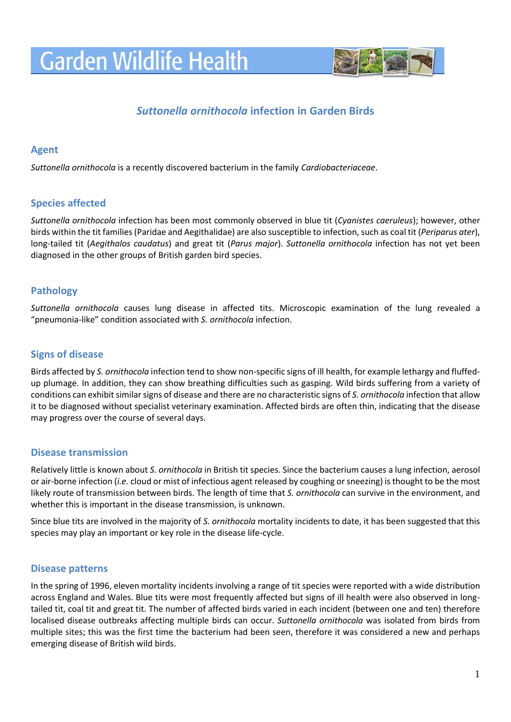# **Garden Wildlife Health**



## *Suttonella ornithocola* **infection in Garden Birds**

#### **Agent**

*Suttonella ornithocola* is a recently discovered bacterium in the family *Cardiobacteriaceae*.

### **Species affected**

*Suttonella ornithocola* infection has been most commonly observed in blue tit (*Cyanistes caeruleus*); however, other birds within the tit families (Paridae and Aegithalidae) are also susceptible to infection, such as coal tit (*Periparus ater*), long-tailed tit (*Aegithalos caudatus*) and great tit (*Parus major*). *Suttonella ornithocola* infection has not yet been diagnosed in the other groups of British garden bird species.

#### **Pathology**

*Suttonella ornithocola* causes lung disease in affected tits. Microscopic examination of the lung revealed a "pneumonia-like" condition associated with *S. ornithocola* infection.

#### **Signs of disease**

Birds affected by *S. ornithocola* infection tend to show non-specific signs of ill health, for example lethargy and fluffedup plumage. In addition, they can show breathing difficulties such as gasping. Wild birds suffering from a variety of conditions can exhibit similar signs of disease and there are no characteristic signs of *S. ornithocola* infection that allow it to be diagnosed without specialist veterinary examination. Affected birds are often thin, indicating that the disease may progress over the course of several days.

#### **Disease transmission**

Relatively little is known about *S. ornithocola* in British tit species. Since the bacterium causes a lung infection, aerosol or air-borne infection (*i.e.* cloud or mist of infectious agent released by coughing or sneezing) is thought to be the most likely route of transmission between birds. The length of time that *S. ornithocola* can survive in the environment, and whether this is important in the disease transmission, is unknown.

Since blue tits are involved in the majority of *S. ornithocola* mortality incidents to date, it has been suggested that this species may play an important or key role in the disease life-cycle.

#### **Disease patterns**

In the spring of 1996, eleven mortality incidents involving a range of tit species were reported with a wide distribution across England and Wales. Blue tits were most frequently affected but signs of ill health were also observed in longtailed tit, coal tit and great tit. The number of affected birds varied in each incident (between one and ten) therefore localised disease outbreaks affecting multiple birds can occur. *Suttonella ornithocola* was isolated from birds from multiple sites; this was the first time the bacterium had been seen, therefore it was considered a new and perhaps emerging disease of British wild birds.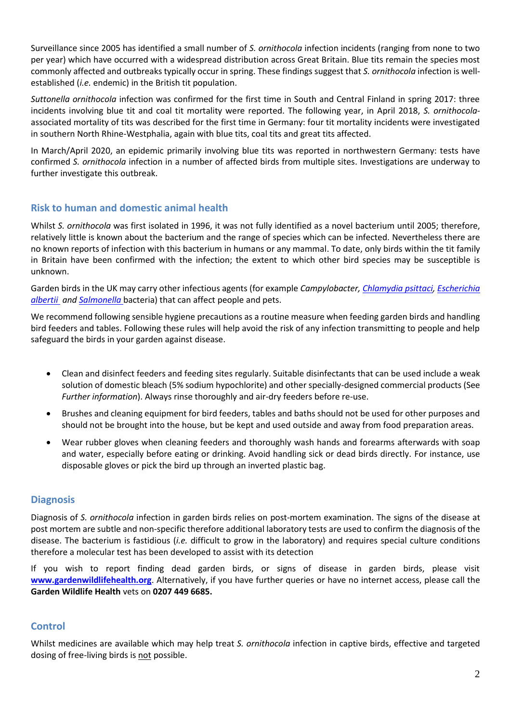Surveillance since 2005 has identified a small number of *S. ornithocola* infection incidents (ranging from none to two per year) which have occurred with a widespread distribution across Great Britain. Blue tits remain the species most commonly affected and outbreaks typically occur in spring. These findings suggest that *S. ornithocola* infection is wellestablished (*i.e.* endemic) in the British tit population.

*Suttonella ornithocola* infection was confirmed for the first time in South and Central Finland in spring 2017: three incidents involving blue tit and coal tit mortality were reported. The following year, in April 2018, *S. ornithocola*associated mortality of tits was described for the first time in Germany: four tit mortality incidents were investigated in southern North Rhine-Westphalia, again with blue tits, coal tits and great tits affected.

In March/April 2020, an epidemic primarily involving blue tits was reported in northwestern Germany: tests have confirmed *S. ornithocola* infection in a number of affected birds from multiple sites. Investigations are underway to further investigate this outbreak.

#### **Risk to human and domestic animal health**

Whilst *S. ornithocola* was first isolated in 1996, it was not fully identified as a novel bacterium until 2005; therefore, relatively little is known about the bacterium and the range of species which can be infected. Nevertheless there are no known reports of infection with this bacterium in humans or any mammal. To date, only birds within the tit family in Britain have been confirmed with the infection; the extent to which other bird species may be susceptible is unknown.

Garden birds in the UK may carry other infectious agents (for example *Campylobacter, [Chlamydia psittaci,](https://www.gardenwildlifehealth.org/portfolio/chlamydiosis-in-garden-birds/) [Escherichia](https://www.gardenwildlifehealth.org/portfolio/escherichia-albertii-infection-in-garden-birds/)  [albertii](https://www.gardenwildlifehealth.org/portfolio/escherichia-albertii-infection-in-garden-birds/) and [Salmonella](https://www.gardenwildlifehealth.org/portfolio/salmonellosis-in-garden-birds/)* bacteria) that can affect people and pets.

We recommend following sensible hygiene precautions as a routine measure when feeding garden birds and handling bird feeders and tables. Following these rules will help avoid the risk of any infection transmitting to people and help safeguard the birds in your garden against disease.

- Clean and disinfect feeders and feeding sites regularly. Suitable disinfectants that can be used include a weak solution of domestic bleach (5% sodium hypochlorite) and other specially-designed commercial products (See *Further information*). Always rinse thoroughly and air-dry feeders before re-use.
- Brushes and cleaning equipment for bird feeders, tables and baths should not be used for other purposes and should not be brought into the house, but be kept and used outside and away from food preparation areas.
- Wear rubber gloves when cleaning feeders and thoroughly wash hands and forearms afterwards with soap and water, especially before eating or drinking. Avoid handling sick or dead birds directly. For instance, use disposable gloves or pick the bird up through an inverted plastic bag.

#### **Diagnosis**

Diagnosis of *S. ornithocola* infection in garden birds relies on post-mortem examination. The signs of the disease at post mortem are subtle and non-specific therefore additional laboratory tests are used to confirm the diagnosis of the disease. The bacterium is fastidious (*i.e.* difficult to grow in the laboratory) and requires special culture conditions therefore a molecular test has been developed to assist with its detection

If you wish to report finding dead garden birds, or signs of disease in garden birds, please visit **[www.gardenwildlifehealth.org](http://www.gardenwildlifehealth.org/)**. Alternatively, if you have further queries or have no internet access, please call the **Garden Wildlife Health** vets on **0207 449 6685.**

#### **Control**

Whilst medicines are available which may help treat *S. ornithocola* infection in captive birds, effective and targeted dosing of free-living birds is not possible.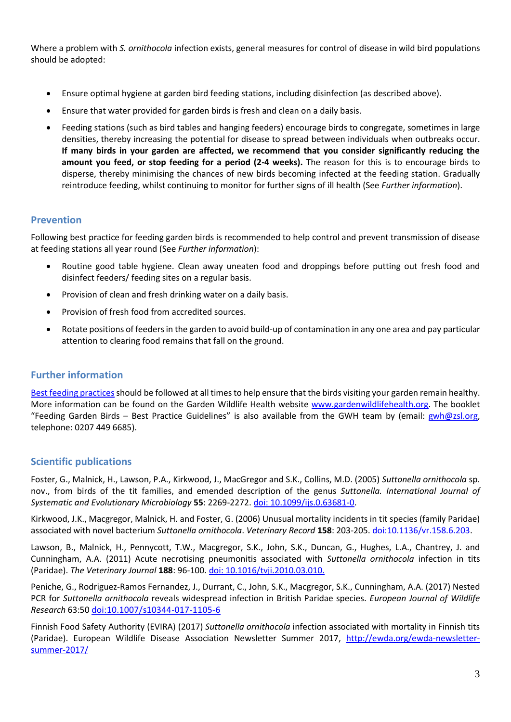Where a problem with *S. ornithocola* infection exists, general measures for control of disease in wild bird populations should be adopted:

- Ensure optimal hygiene at garden bird feeding stations, including disinfection (as described above).
- Ensure that water provided for garden birds is fresh and clean on a daily basis.
- Feeding stations (such as bird tables and hanging feeders) encourage birds to congregate, sometimes in large densities, thereby increasing the potential for disease to spread between individuals when outbreaks occur. **If many birds in your garden are affected, we recommend that you consider significantly reducing the amount you feed, or stop feeding for a period (2-4 weeks).** The reason for this is to encourage birds to disperse, thereby minimising the chances of new birds becoming infected at the feeding station. Gradually reintroduce feeding, whilst continuing to monitor for further signs of ill health (See *Further information*).

#### **Prevention**

Following best practice for feeding garden birds is recommended to help control and prevent transmission of disease at feeding stations all year round (See *Further information*):

- Routine good table hygiene. Clean away uneaten food and droppings before putting out fresh food and disinfect feeders/ feeding sites on a regular basis.
- Provision of clean and fresh drinking water on a daily basis.
- Provision of fresh food from accredited sources.
- Rotate positions of feeders in the garden to avoid build-up of contamination in any one area and pay particular attention to clearing food remains that fall on the ground.

#### **Further information**

Best feeding practices should be followed at all times to help ensure that the birds visiting your garden remain healthy. More information can be found on the Garden Wildlife Health website [www.gardenwildlifehealth.org.](http://www.gardenwildlifehealth.org/) The booklet "Feeding Garden Birds – Best Practice Guidelines" is also available from the GWH team by (email: [gwh@zsl.org,](mailto:gwh@zsl.org) telephone: 0207 449 6685).

#### **Scientific publications**

Foster, G., Malnick, H., Lawson, P.A., Kirkwood, J., MacGregor and S.K., Collins, M.D. (2005) *Suttonella ornithocola* sp. nov., from birds of the tit families, and emended description of the genus *Suttonella. International Journal of Systematic and Evolutionary Microbiology* **55**: 2269-2272[. doi: 10.1099/ijs.0.63681-0.](http://www.ncbi.nlm.nih.gov/pubmed/16280481)

Kirkwood, J.K., Macgregor, Malnick, H. and Foster, G. (2006) Unusual mortality incidents in tit species (family Paridae) associated with novel bacterium *Suttonella ornithocola*. *Veterinary Record* **158**: 203-205. [doi:10.1136/vr.158.6.203.](http://www.ncbi.nlm.nih.gov/pubmed/16474055)

Lawson, B., Malnick, H., Pennycott, T.W., Macgregor, S.K., John, S.K., Duncan, G., Hughes, L.A., Chantrey, J. and Cunningham, A.A. (2011) Acute necrotising pneumonitis associated with *Suttonella ornithocola* infection in tits (Paridae). *The Veterinary Journal* **188**: 96-100[. doi: 10.1016/tvji.2010.03.010.](http://www.ncbi.nlm.nih.gov/pubmed/20427213)

Peniche, G., Rodriguez-Ramos Fernandez, J., Durrant, C., John, S.K., Macgregor, S.K., Cunningham, A.A. (2017) Nested PCR for *Suttonella ornithocola* reveals widespread infection in British Paridae species. *European Journal of Wildlife Research* 63:5[0 doi:10.1007/s10344-017-1105-6](https://link.springer.com/article/10.1007/s10344-017-1105-6)

Finnish Food Safety Authority (EVIRA) (2017) *Suttonella ornithocola* infection associated with mortality in Finnish tits (Paridae). European Wildlife Disease Association Newsletter Summer 2017, [http://ewda.org/ewda-newsletter](http://ewda.org/ewda-newsletter-summer-2017/)[summer-2017/](http://ewda.org/ewda-newsletter-summer-2017/)